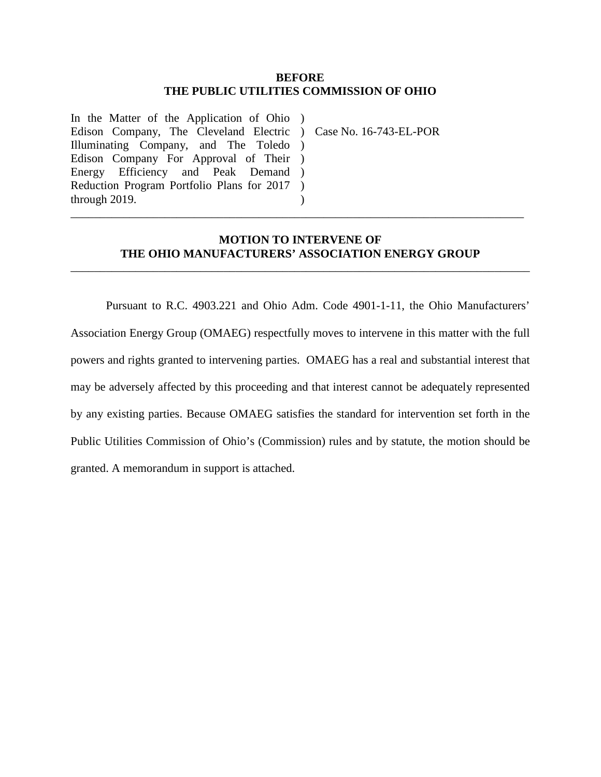#### **BEFORE THE PUBLIC UTILITIES COMMISSION OF OHIO**

In the Matter of the Application of Ohio ) Edison Company, The Cleveland Electric ) Case No. 16-743-EL-POR Illuminating Company, and The Toledo ) Edison Company For Approval of Their ) Energy Efficiency and Peak Demand ) Reduction Program Portfolio Plans for 2017 through 2019. )  $\lambda$ 

### **MOTION TO INTERVENE OF THE OHIO MANUFACTURERS' ASSOCIATION ENERGY GROUP**

\_\_\_\_\_\_\_\_\_\_\_\_\_\_\_\_\_\_\_\_\_\_\_\_\_\_\_\_\_\_\_\_\_\_\_\_\_\_\_\_\_\_\_\_\_\_\_\_\_\_\_\_\_\_\_\_\_\_\_\_\_\_\_\_\_\_\_\_\_\_\_\_\_\_\_\_\_\_

\_\_\_\_\_\_\_\_\_\_\_\_\_\_\_\_\_\_\_\_\_\_\_\_\_\_\_\_\_\_\_\_\_\_\_\_\_\_\_\_\_\_\_\_\_\_\_\_\_\_\_\_\_\_\_\_\_\_\_\_\_\_\_\_\_\_\_\_\_\_\_\_\_\_\_\_\_

Pursuant to R.C. 4903.221 and Ohio Adm. Code 4901-1-11, the Ohio Manufacturers' Association Energy Group (OMAEG) respectfully moves to intervene in this matter with the full powers and rights granted to intervening parties. OMAEG has a real and substantial interest that may be adversely affected by this proceeding and that interest cannot be adequately represented by any existing parties. Because OMAEG satisfies the standard for intervention set forth in the Public Utilities Commission of Ohio's (Commission) rules and by statute, the motion should be granted. A memorandum in support is attached.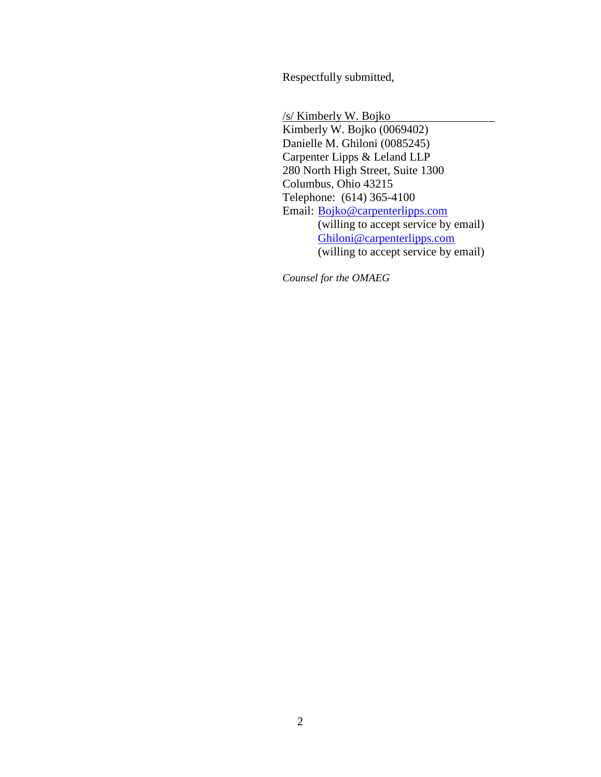Respectfully submitted,

/s/ Kimberly W. Bojko Kimberly W. Bojko (0069402) Danielle M. Ghiloni (0085245) Carpenter Lipps & Leland LLP 280 North High Street, Suite 1300 Columbus, Ohio 43215 Telephone: (614) 365-4100 Email: Bojko@carpenterlipps.com (willing to accept service by email) Ghiloni@carpenterlipps.com (willing to accept service by email)

*Counsel for the OMAEG*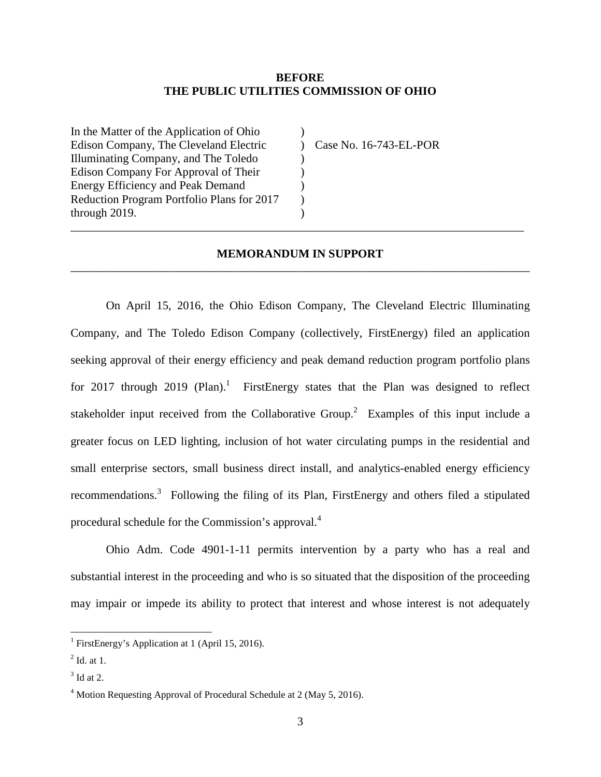#### **BEFORE THE PUBLIC UTILITIES COMMISSION OF OHIO**

)  $\lambda$ ) ) ) ) )

In the Matter of the Application of Ohio Edison Company, The Cleveland Electric Illuminating Company, and The Toledo Edison Company For Approval of Their Energy Efficiency and Peak Demand Reduction Program Portfolio Plans for 2017 through 2019.

Case No. 16-743-EL-POR

## **MEMORANDUM IN SUPPORT**  \_\_\_\_\_\_\_\_\_\_\_\_\_\_\_\_\_\_\_\_\_\_\_\_\_\_\_\_\_\_\_\_\_\_\_\_\_\_\_\_\_\_\_\_\_\_\_\_\_\_\_\_\_\_\_\_\_\_\_\_\_\_\_\_\_\_\_\_\_\_\_\_\_\_\_\_\_\_

\_\_\_\_\_\_\_\_\_\_\_\_\_\_\_\_\_\_\_\_\_\_\_\_\_\_\_\_\_\_\_\_\_\_\_\_\_\_\_\_\_\_\_\_\_\_\_\_\_\_\_\_\_\_\_\_\_\_\_\_\_\_\_\_\_\_\_\_\_\_\_\_\_\_\_\_\_

On April 15, 2016, the Ohio Edison Company, The Cleveland Electric Illuminating Company, and The Toledo Edison Company (collectively, FirstEnergy) filed an application seeking approval of their energy efficiency and peak demand reduction program portfolio plans for 2017 through 2019 (Plan).<sup>1</sup> FirstEnergy states that the Plan was designed to reflect stakeholder input received from the Collaborative Group.<sup>2</sup> Examples of this input include a greater focus on LED lighting, inclusion of hot water circulating pumps in the residential and small enterprise sectors, small business direct install, and analytics-enabled energy efficiency recommendations.<sup>3</sup> Following the filing of its Plan, FirstEnergy and others filed a stipulated procedural schedule for the Commission's approval.<sup>4</sup>

 Ohio Adm. Code 4901-1-11 permits intervention by a party who has a real and substantial interest in the proceeding and who is so situated that the disposition of the proceeding may impair or impede its ability to protect that interest and whose interest is not adequately

 $\overline{a}$ 

<sup>&</sup>lt;sup>1</sup> FirstEnergy's Application at 1 (April 15, 2016).

 $<sup>2</sup>$  Id. at 1.</sup>

 $3$  Id at 2.

<sup>&</sup>lt;sup>4</sup> Motion Requesting Approval of Procedural Schedule at 2 (May 5, 2016).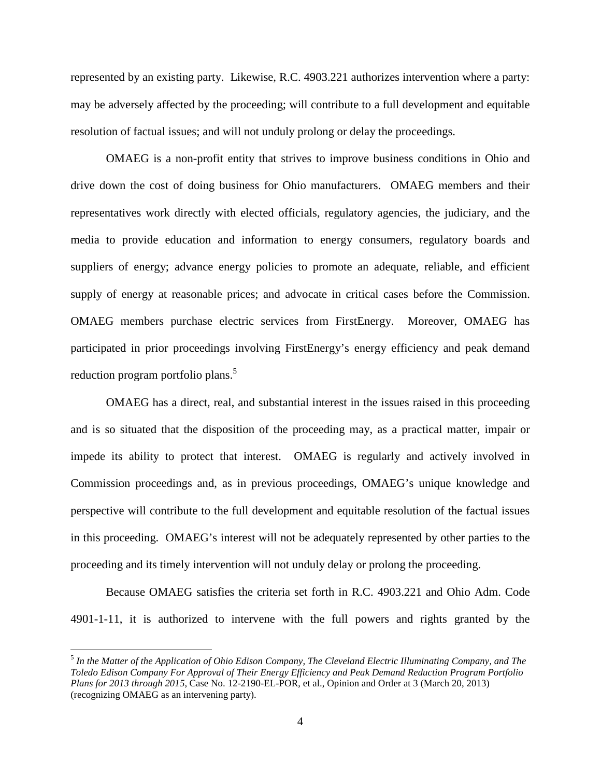represented by an existing party. Likewise, R.C. 4903.221 authorizes intervention where a party: may be adversely affected by the proceeding; will contribute to a full development and equitable resolution of factual issues; and will not unduly prolong or delay the proceedings.

 OMAEG is a non-profit entity that strives to improve business conditions in Ohio and drive down the cost of doing business for Ohio manufacturers. OMAEG members and their representatives work directly with elected officials, regulatory agencies, the judiciary, and the media to provide education and information to energy consumers, regulatory boards and suppliers of energy; advance energy policies to promote an adequate, reliable, and efficient supply of energy at reasonable prices; and advocate in critical cases before the Commission. OMAEG members purchase electric services from FirstEnergy. Moreover, OMAEG has participated in prior proceedings involving FirstEnergy's energy efficiency and peak demand reduction program portfolio plans.<sup>5</sup>

OMAEG has a direct, real, and substantial interest in the issues raised in this proceeding and is so situated that the disposition of the proceeding may, as a practical matter, impair or impede its ability to protect that interest. OMAEG is regularly and actively involved in Commission proceedings and, as in previous proceedings, OMAEG's unique knowledge and perspective will contribute to the full development and equitable resolution of the factual issues in this proceeding. OMAEG's interest will not be adequately represented by other parties to the proceeding and its timely intervention will not unduly delay or prolong the proceeding.

 Because OMAEG satisfies the criteria set forth in R.C. 4903.221 and Ohio Adm. Code 4901-1-11, it is authorized to intervene with the full powers and rights granted by the

 $\overline{a}$ 

<sup>5</sup> *In the Matter of the Application of Ohio Edison Company, The Cleveland Electric Illuminating Company, and The Toledo Edison Company For Approval of Their Energy Efficiency and Peak Demand Reduction Program Portfolio Plans for 2013 through 2015*, Case No. 12-2190-EL-POR, et al., Opinion and Order at 3 (March 20, 2013) (recognizing OMAEG as an intervening party).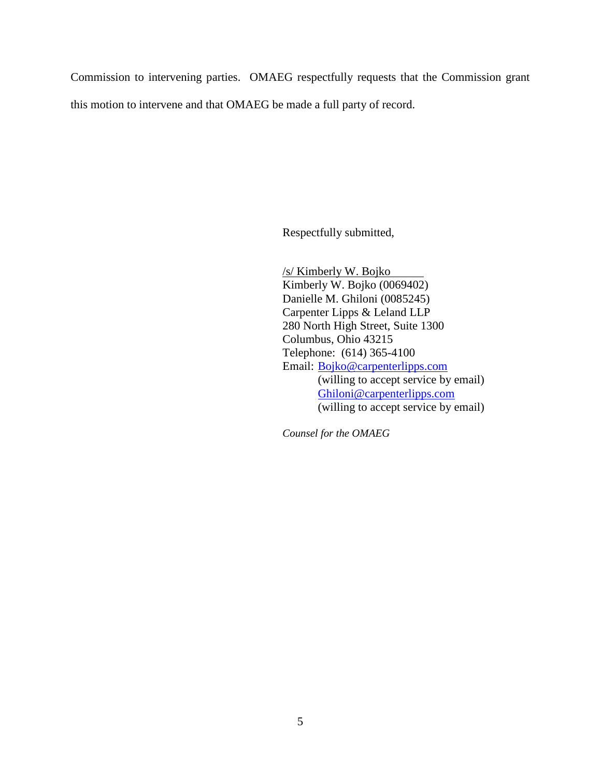Commission to intervening parties. OMAEG respectfully requests that the Commission grant this motion to intervene and that OMAEG be made a full party of record.

Respectfully submitted,

 /s/ Kimberly W. Bojko Kimberly W. Bojko (0069402) Danielle M. Ghiloni (0085245) Carpenter Lipps & Leland LLP 280 North High Street, Suite 1300 Columbus, Ohio 43215 Telephone: (614) 365-4100 Email: Bojko@carpenterlipps.com (willing to accept service by email) Ghiloni@carpenterlipps.com (willing to accept service by email)

*Counsel for the OMAEG*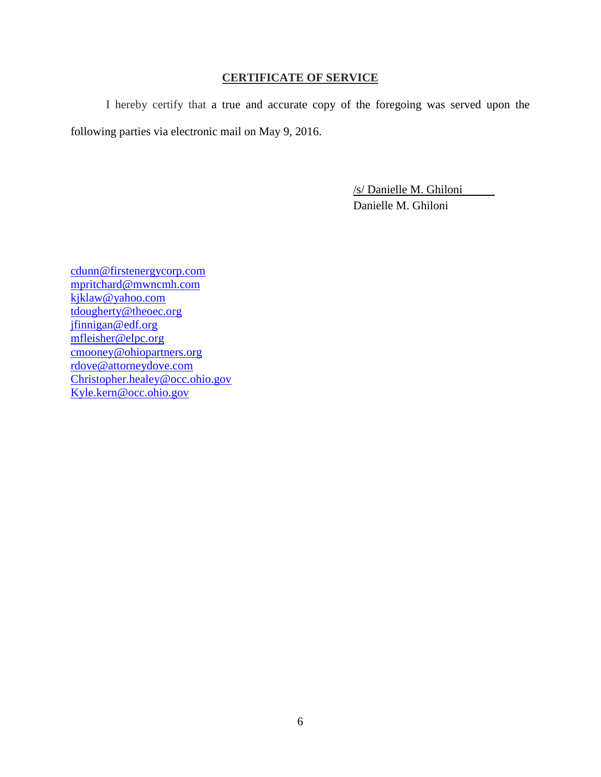# **CERTIFICATE OF SERVICE**

I hereby certify that a true and accurate copy of the foregoing was served upon the following parties via electronic mail on May 9, 2016.

> /s/ Danielle M. Ghiloni Danielle M. Ghiloni

cdunn@firstenergycorp.com mpritchard@mwncmh.com kjklaw@yahoo.com tdougherty@theoec.org jfinnigan@edf.org mfleisher@elpc.org cmooney@ohiopartners.org rdove@attorneydove.com Christopher.healey@occ.ohio.gov Kyle.kern@occ.ohio.gov